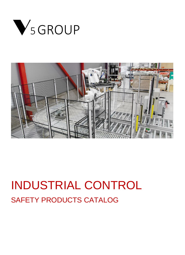



# INDUSTRIAL CONTROL SAFETY PRODUCTS CATALOG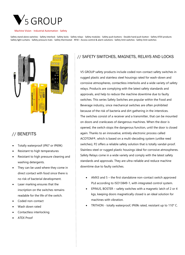

Safety stand-alone switches · Safety interlock · Safety locks · Safety relays · Safety modules · Safety push buttons · Double hand push button · Safety ATEX products Safety light curtains · Safety pressure mats · Safety thermostat · RFID – Access control & alarm solutions · Safety limit switches · Safety limit switches



# // BENEFITS

- Totally waterproof (IP67 or IP69K)
- Resistant to high temperatures
- Resistant to high pressure cleaning and washing detergents.
- They can be used where they come in direct contact with food since there is no risk of bacterial development.
- Laser marking ensures that the inscription on the switches remains readable for the life of the switch.
- Coded non-contact
- Wash down rated
- Contactless interlocking
- ATEX Proof

## // SAFETY SWITCHES, MAGNETS, RELAYS AND LOCKS

V5 GROUP safety products include coded non-contact safety switches in rugged plastic and stainless steel housings rated for wash-down and corrosive atmospheres, contactless interlocks and a wide variety of safety relays. Products are complying with the latest safety standards and approvals, and help to reduce the machine downtime due to faulty switches. This series Safety Switches are popular within the Food and Beverage industry, since mechanical switches are often prohibited because of the risk of bacteria and dirt gathering in the interstices. The switches consist of a receiver and a transmitter, that can be mounted on doors and crankcases of dangerous machines. When the door is opened, the switch stops the dangerous function, until the door is closed again. Thanks to an innovative, entirely electronic process called ACOTOM®, which is based on a multi-decoding system (unlike reed switches), P2 offers a reliable safety solution that is totally vandal-proof. Stainless steel or rugged plastic housings ideal for corrosive atmospheres. Safety Relays come in a wide variety and comply with the latest safety standards and approvals. They are ultra-reliable and reduce machine downtime due to faulty switches.

- AMX3 and 5 the first standalone non-contact switch approved PLd according to ISO13849-1, with integrated control system.
- EPINUS, BOSTER safety switches with a magnetic latch of 2 or 4 kgs, keeping doors magnetically closed is an ideal solution for machines with vibration.
- TRITHON totally waterproof, IP69k rated, resistant up to 110° C.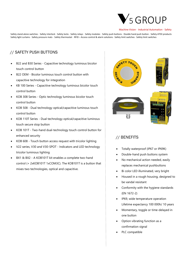# SGROUP

#### Machine Vision · Industrial Automation · Safety

Safety stand-alone switches · Safety interlock · Safety locks · Safety relays · Safety modules · Safety push buttons · Double hand push button · Safety ATEX products Safety light curtains · Safety pressure mats · Safety thermostat · RFID - Access control & alarm solutions · Safety limit switches · Safety limit switches

## // SAFETY PUSH BUTTONS

- B22 and B30 Series Capacitive technology luminous bicolor touch control button
- B22 OEM Bicolor luminous touch control button with capacitive technology for integration
- KB 100 Series Capacitive technology luminous bicolor touch control button
- KOB 308 Series Optic technology luminous bicolor touch control button
- KOB 508 Dual technology optical/capacitive luminous touch control button
- KOB 110T Series Dual technology optical/capacitive luminous touch secure stop button
- KOB 101T Two-hand dual-technology touch control button for enhanced security
- KOB 608 Touch button access request with tricolor lighting
- V22 series, V30 and V30-SPOT Indicators and LED technology tricolor luminous lighting
- BX1 & BX2 A KOB101T kit enables a complete two-hand control (+ 2xKOB101T 1xCOM3C). The KOB101T is a button that mixes two technologies, optical and capacitive.









## // BENEFITS

- Totally waterproof (IP67 or IP69K)
- Double-hand push buttons system
- No mechanical action needed, easily replaces mechanical pushbuttons
- Bi color LED illuminated, very bright
- Housed in a rough housing, designed to be vandal resistant
- Conformity with the hygiene standards (EN 1672-2)
- IP69, wide temperature operation Lifetime expectancy 100 000h/ 10 years
- Momentary, toggle or time-delayed in one button
- Option vibrating function as a confirmation signal
- PLC compatible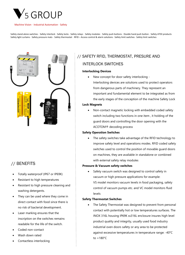

Safety stand-alone switches · Safety interlock · Safety locks · Safety relays · Safety modules · Safety push buttons · Double hand push button · Safety ATEX products Safety light curtains · Safety pressure mats · Safety thermostat · RFID - Access control & alarm solutions · Safety limit switches · Safety limit switches



# // BENEFITS

- Totally waterproof (IP67 or IP69K)
- Resistant to high temperatures
- Resistant to high pressure cleaning and washing detergents.
- They can be used where they come in direct contact with food since there is no risk of bacterial development.
- Laser marking ensures that the inscription on the switches remains readable for the life of the switch.
- Coded non-contact
- Wash down rated
- Contactless interlocking

# // SAFETY RFID, THERMOSTAT, PRESURE AND INTERLOCK SWITCHES

#### **Interlocking Devices**

• New concept for door safety interlocking - Interlocking devices are solutions used to protect operators from dangerous parts of machinery. They represent an important and fundamental element to be integrated as from the early stages of the conception of the machine Safety Lock

#### **Lock Magnets**

• Non-contact magnetic locking with embedded coded safety switch including two functions in one item , it holding of the guard doors and controlling the door opening with the ACOTOM® decoding process

#### **Safety Operation Switches**

• The safety switches take advantage of the RFID technology to improve safety level and operations modes. RFID coded safety switches used to control the position of movable guard doors on machines, they are available in standalone or combined with external safety relay modules

#### **Pressure & Vacuum safety switches**

Safety vacuum switch was designed to control safety in vacuum or high pressure applications for example: VS model monitors vacuum levels in food packaging, safety control of vacuum pumps etc. and VC model monitors fluid levels

#### **Safety Thermostat Switches**

The Safety Thermostat was designed to prevent from personal contact with potentially hot or low temperatures surfaces. The INOX 316L housing IP69K ss316L enclosure insures high level product quality and integrity, usually used food industry industrial oven doors safety or any area to be protected against excessive temperatures in temperature range: -40°C to +180°C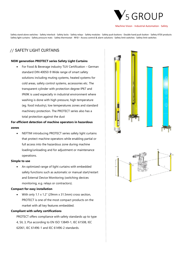

Safety stand-alone switches · Safety interlock · Safety locks · Safety relays · Safety modules · Safety push buttons · Double hand push button · Safety ATEX products Safety light curtains · Safety pressure mats · Safety thermostat · RFID - Access control & alarm solutions · Safety limit switches · Safety limit switches

## // SAFETY LIGHT CURTAINS

#### **NEW generation PROTECT series Safety Light Curtains**

• For Food & Beverage industry TUV Certification – German standard DIN 40050-9 Wide range of smart safety solutions including muting systems, heated systems for cold areas, safety control systems, accessories etc. The transparent cylinder with protection degree IP67 and IP69K is used especially in industrial environment where washing is done with high pressure, high temperature (eg. food industry), low temperatures zones and standard machinery protection. The PROTECT series also has a total protection against the dust

### **For efficient detection of machine operators in hazardous zones**

• NEFTIM introducing PROTECT series safety light curtains that protect machine operators while enabling partial or full access into the hazardous zone during machine loading/unloading and for adjustment or maintenance operations.

#### **Simple to use**

• An optimized range of light curtains with embedded safety functions such as automatic or manual start/restart and External Device Monitoring (switching devices monitoring, e.g. relays or contractors).

#### **Compact for easy installation**

• With only 1.1 x 1.2″ (29mm x 31.5mm) cross section, PROTECT is one of the most compact products on the market with all key features embedded.

#### **Compliant with safety certifications**

PROTECT offers compliance with safety standards up to type 4, SIL 3, PLe according to EN ISO 13849-1, IEC 61508, IEC 62061, IEC 61496-1 and IEC 61496-2 standards.



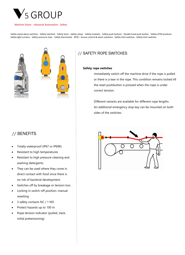

Safety stand-alone switches · Safety interlock · Safety locks · Safety relays · Safety modules · Safety push buttons · Double hand push button · Safety ATEX products Safety light curtains · Safety pressure mats · Safety thermostat · RFID – Access control & alarm solutions · Safety limit switches · Safety limit switches



![](_page_5_Picture_4.jpeg)

### // SAFETY ROPE SWITCHES

#### **Safety rope switches**

immediately switch off the machine drive if the rope is pulled or there is a tear in the rope. This condition remains locked till the reset pushbutton is pressed when the rope is under correct tension.

Different variants are available for different rope lengths. An additional emergency stop key can be mounted on both sides of the switches.

# // BENEFITS

- Totally waterproof (IP67 or IP69K)
- Resistant to high temperatures
- Resistant to high pressure cleaning and washing detergents.
- They can be used where they come in direct contact with food since there is no risk of bacterial development.
- Switches off by breakage or tension loss
- Locking in switch-off position, manual resetting
- 3 safety contacts NC / 1 NO
- Protect hazards up to 100 m
- Rope tension indicator (pulled, slack, initial pretensioning)

![](_page_5_Picture_19.jpeg)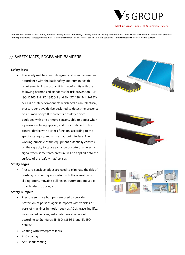![](_page_6_Picture_0.jpeg)

Safety stand-alone switches · Safety interlock · Safety locks · Safety relays · Safety modules · Safety push buttons · Double hand push button · Safety ATEX products Safety light curtains · Safety pressure mats · Safety thermostat · RFID – Access control & alarm solutions · Safety limit switches · Safety limit switches

## // SAFETY MATS, EDGES AND BAMPERS

#### **Safety Mats**

The safety mat has been designed and manufactured in accordance with the basic safety and human health requirements. In particular, it is in conformity with the following harmonized standards for risk prevention - EN ISO 12100, EN ISO 13856-1 and EN ISO 13849-1. SAFETY MAT is a "safety component" which acts as an "electrical, pressure sensitive device designed to detect the presence of a human body". It represents a "safety device equipped with one or more sensors, able to detect when a pressure is being applied, and it is combined with a control device with a check function, according to the specific category, and with an output interface. The working principle of the equipment essentially consists on the capacity to cause a change of state of an electric signal when some force/pressure will be applied onto the surface of the "safety mat" sensor.

#### **Safety Edges**

Pressure-sensitive edges are used to eliminate the risk of crashing or shearing associated with the operation of sliding doors, movable bulkheads, automated movable guards, electric doors, etc.

#### **Safety Bumpers**

- Pressure sensitive bumpers are used to provide protection of persons against impacts with vehicles or parts of machines in motion such as AGVs, travelling lifts, wire-guided vehicles, automated warehouses, etc. In according to Standards EN ISO 13856-3 and EN ISO 13849-1
- Coating with waterproof fabric
- PVC coating
- Anti-spark coating

![](_page_6_Picture_13.jpeg)